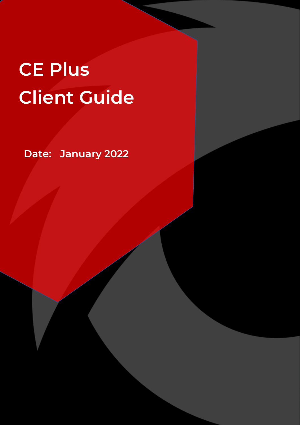# **CE Plus Client Guide**

**Date: January 2022**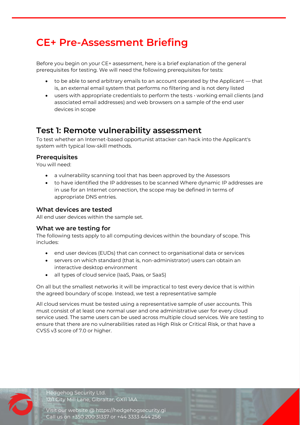## **CE+ Pre-Assessment Briefing**

Before you begin on your CE+ assessment, here is a brief explanation of the general prerequisites for testing. We will need the following prerequisites for tests:

- to be able to send arbitrary emails to an account operated by the Applicant that is, an external email system that performs no filtering and is not deny listed
- $\bullet$  users with appropriate credentials to perform the tests  $\cdot$  working email clients (and associated email addresses) and web browsers on a sample of the end user devices in scope

### **Test 1: Remote vulnerability assessment**

To test whether an Internet-based opportunist attacker can hack into the Applicant's system with typical low-skill methods.

### **Prerequisites**

You will need:

- a vulnerability scanning tool that has been approved by the Assessors
- to have identified the IP addresses to be scanned Where dynamic IP addresses are in use for an Internet connection, the scope may be defined in terms of appropriate DNS entries.

### **What devices are tested**

All end user devices within the sample set.

#### **What we are testing for**

The following tests apply to all computing devices within the boundary of scope. This includes:

- end user devices (EUDs) that can connect to organisational data or services
- servers on which standard (that is, non-administrator) users can obtain an interactive desktop environment
- all types of cloud service (IaaS, Paas, or SaaS)

On all but the smallest networks it will be impractical to test every device that is within the agreed boundary of scope. Instead, we test a representative sample

All cloud services must be tested using a representative sample of user accounts. This must consist of at least one normal user and one administrative user for every cloud service used. The same users can be used across multiple cloud services. We are testing to ensure that there are no vulnerabilities rated as High Risk or Critical Risk, or that have a CVSS v3 score of 7.0 or higher.

Hedgehog Security Ltd. 12/1 City Mill Lane, Gibraltar, GX11 1AA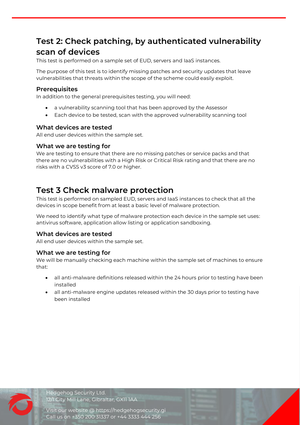### **Test 2: Check patching, by authenticated vulnerability scan of devices**

This test is performed on a sample set of EUD, servers and IaaS instances.

The purpose of this test is to identify missing patches and security updates that leave vulnerabilities that threats within the scope of the scheme could easily exploit.

#### **Prerequisites**

In addition to the general prerequisites testing, you will need:

- a vulnerability scanning tool that has been approved by the Assessor
- Each device to be tested, scan with the approved vulnerability scanning tool

### **What devices are tested**

All end user devices within the sample set.

### **What we are testing for**

We are testing to ensure that there are no missing patches or service packs and that there are no vulnerabilities with a High Risk or Critical Risk rating and that there are no risks with a CVSS v3 score of 7.0 or higher.

### **Test 3 Check malware protection**

This test is performed on sampled EUD, servers and IaaS instances to check that all the devices in scope benefit from at least a basic level of malware protection.

We need to identify what type of malware protection each device in the sample set uses: antivirus software, application allow listing or application sandboxing.

### **What devices are tested**

All end user devices within the sample set.

#### **What we are testing for**

We will be manually checking each machine within the sample set of machines to ensure that:

- all anti-malware definitions released within the 24 hours prior to testing have been installed
- all anti-malware engine updates released within the 30 days prior to testing have been installed

Hedgehog Security Ltd. 12/1 City Mill Lane, Gibraltar, GX11 1AA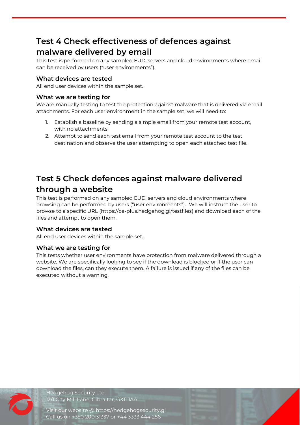### **Test 4 Check effectiveness of defences against malware delivered by email**

This test is performed on any sampled EUD, servers and cloud environments where email can be received by users ("user environments").

### **What devices are tested**

All end user devices within the sample set.

### **What we are testing for**

We are manually testing to test the protection against malware that is delivered via email attachments. For each user environment in the sample set, we will need to:

- 1. Establish a baseline by sending a simple email from your remote test account, with no attachments.
- 2. Attempt to send each test email from your remote test account to the test destination and observe the user attempting to open each attached test file.

### **Test 5 Check defences against malware delivered through a website**

This test is performed on any sampled EUD, servers and cloud environments where browsing can be performed by users ("user environments"). We will instruct the user to browse to a specific URL (https://ce-plus.hedgehog.gi/testfiles) and download each of the files and attempt to open them.

### **What devices are tested**

All end user devices within the sample set.

### **What we are testing for**

This tests whether user environments have protection from malware delivered through a website. We are specifically looking to see if the download is blocked or if the user can download the files, can they execute them. A failure is issued if any of the files can be executed without a warning.



Hedgehog Security Ltd. 12/1 City Mill Lane, Gibraltar, GX11 1AA